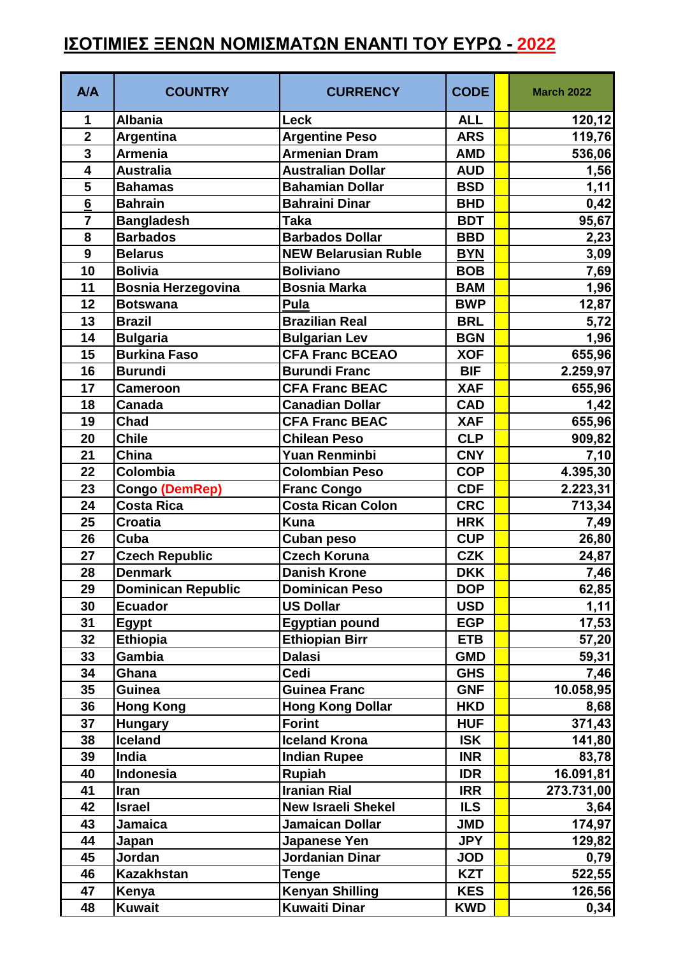## **ΙΣΟΤΙΜΙΕΣ ΞΕΝΩΝ ΝΟΜΙΣΜΑΤΩΝ ΕΝΑΝΤΙ ΤΟΥ ΕΥΡΩ - 2022**

| A/A                     | <b>COUNTRY</b>            | <b>CURRENCY</b>             | <b>CODE</b> | <b>March 2022</b> |
|-------------------------|---------------------------|-----------------------------|-------------|-------------------|
| 1                       | <b>Albania</b>            | Leck                        | <b>ALL</b>  | 120,12            |
| $\overline{\mathbf{2}}$ | Argentina                 | <b>Argentine Peso</b>       | <b>ARS</b>  | 119,76            |
| $\overline{\mathbf{3}}$ | Armenia                   | <b>Armenian Dram</b>        | <b>AMD</b>  | 536,06            |
| $\overline{\mathbf{4}}$ | <b>Australia</b>          | <b>Australian Dollar</b>    | <b>AUD</b>  | 1,56              |
| 5                       | <b>Bahamas</b>            | <b>Bahamian Dollar</b>      | <b>BSD</b>  | 1,11              |
| 6                       | <b>Bahrain</b>            | <b>Bahraini Dinar</b>       | <b>BHD</b>  | 0,42              |
| $\overline{7}$          | <b>Bangladesh</b>         | <b>Taka</b>                 | <b>BDT</b>  | 95,67             |
| 8                       | <b>Barbados</b>           | <b>Barbados Dollar</b>      | <b>BBD</b>  | 2,23              |
| $\boldsymbol{9}$        | <b>Belarus</b>            | <b>NEW Belarusian Ruble</b> | <b>BYN</b>  | 3,09              |
| 10                      | <b>Bolivia</b>            | <b>Boliviano</b>            | <b>BOB</b>  | 7,69              |
| 11                      | <b>Bosnia Herzegovina</b> | <b>Bosnia Marka</b>         | <b>BAM</b>  | 1,96              |
| 12                      | <b>Botswana</b>           | <b>Pula</b>                 | <b>BWP</b>  | 12,87             |
| 13                      | <b>Brazil</b>             | <b>Brazilian Real</b>       | <b>BRL</b>  | 5,72              |
| 14                      | <b>Bulgaria</b>           | <b>Bulgarian Lev</b>        | <b>BGN</b>  | 1,96              |
| 15                      | <b>Burkina Faso</b>       | <b>CFA Franc BCEAO</b>      | <b>XOF</b>  | 655,96            |
| 16                      | <b>Burundi</b>            | <b>Burundi Franc</b>        | <b>BIF</b>  | 2.259,97          |
| 17                      | <b>Cameroon</b>           | <b>CFA Franc BEAC</b>       | <b>XAF</b>  | 655,96            |
| 18                      | Canada                    | <b>Canadian Dollar</b>      | <b>CAD</b>  | 1,42              |
| 19                      | Chad                      | <b>CFA Franc BEAC</b>       | <b>XAF</b>  | 655,96            |
| 20                      | <b>Chile</b>              | <b>Chilean Peso</b>         | <b>CLP</b>  | 909,82            |
| 21                      | China                     | <b>Yuan Renminbi</b>        | <b>CNY</b>  | 7,10              |
| 22                      | Colombia                  | <b>Colombian Peso</b>       | <b>COP</b>  | 4.395,30          |
| 23                      | <b>Congo (DemRep)</b>     | <b>Franc Congo</b>          | <b>CDF</b>  | 2.223,31          |
| 24                      | <b>Costa Rica</b>         | <b>Costa Rican Colon</b>    | <b>CRC</b>  | 713,34            |
| 25                      | <b>Croatia</b>            | <b>Kuna</b>                 | <b>HRK</b>  | 7,49              |
| 26                      | Cuba                      | <b>Cuban peso</b>           | <b>CUP</b>  | 26,80             |
| 27                      | <b>Czech Republic</b>     | <b>Czech Koruna</b>         | <b>CZK</b>  | 24,87             |
| 28                      | <b>Denmark</b>            | <b>Danish Krone</b>         | <b>DKK</b>  | 7,46              |
| 29                      | <b>Dominican Republic</b> | <b>Dominican Peso</b>       | <b>DOP</b>  | 62,85             |
| 30                      | <b>Ecuador</b>            | <b>US Dollar</b>            | <b>USD</b>  | 1,11              |
| 31                      | <b>Egypt</b>              | <b>Egyptian pound</b>       | <b>EGP</b>  | 17,53             |
| 32                      | Ethiopia                  | <b>Ethiopian Birr</b>       | <b>ETB</b>  | 57,20             |
| 33                      | Gambia                    | <b>Dalasi</b>               | <b>GMD</b>  | 59,31             |
| 34                      | Ghana                     | Cedi                        | <b>GHS</b>  | 7,46              |
| 35                      | <b>Guinea</b>             | <b>Guinea Franc</b>         | <b>GNF</b>  | 10.058,95         |
| 36                      | <b>Hong Kong</b>          | <b>Hong Kong Dollar</b>     | <b>HKD</b>  | 8,68              |
| 37                      | <b>Hungary</b>            | <b>Forint</b>               | <b>HUF</b>  | 371,43            |
| 38                      | <b>Iceland</b>            | <b>Iceland Krona</b>        | <b>ISK</b>  | 141,80            |
| 39                      | India                     | <b>Indian Rupee</b>         | <b>INR</b>  | 83,78             |
| 40                      | Indonesia                 | <b>Rupiah</b>               | <b>IDR</b>  | 16.091,81         |
| 41                      | Iran                      | <b>Iranian Rial</b>         | <b>IRR</b>  | 273.731,00        |
| 42                      | <b>Israel</b>             | <b>New Israeli Shekel</b>   | <b>ILS</b>  | 3,64              |
| 43                      | <b>Jamaica</b>            | <b>Jamaican Dollar</b>      | <b>JMD</b>  | 174,97            |
| 44                      | Japan                     | Japanese Yen                | <b>JPY</b>  | 129,82            |
| 45                      | Jordan                    | Jordanian Dinar             | <b>JOD</b>  | 0,79              |
| 46                      | <b>Kazakhstan</b>         | <b>Tenge</b>                | <b>KZT</b>  | 522,55            |
| 47                      | Kenya                     | <b>Kenyan Shilling</b>      | <b>KES</b>  | 126,56            |
| 48                      | <b>Kuwait</b>             | <b>Kuwaiti Dinar</b>        | <b>KWD</b>  | 0,34              |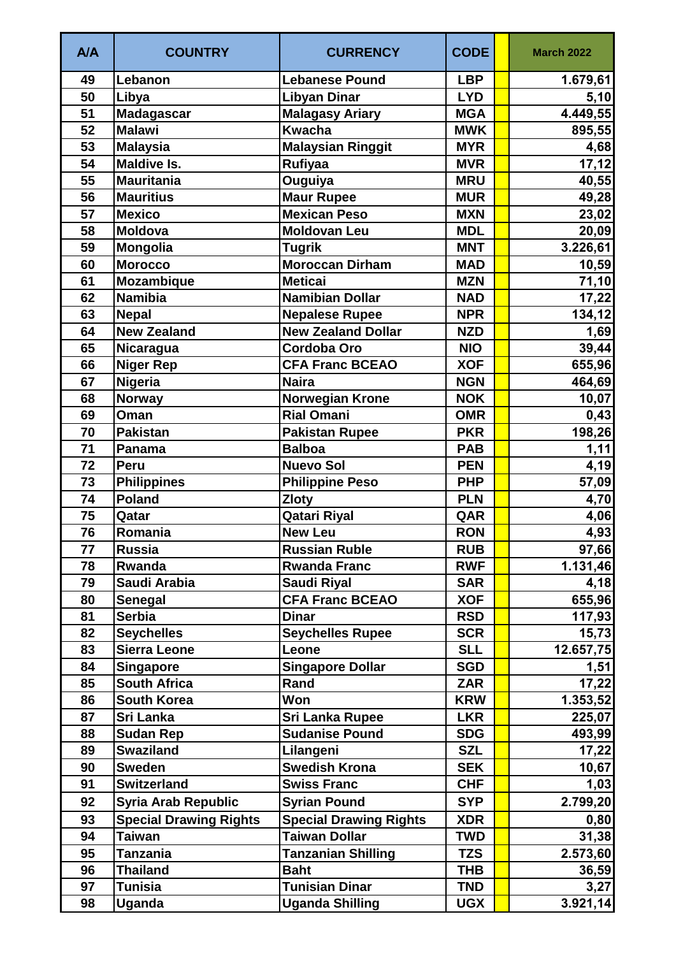| <b>A/A</b> | <b>COUNTRY</b>                | <b>CURRENCY</b>               | <b>CODE</b> | <b>March 2022</b> |
|------------|-------------------------------|-------------------------------|-------------|-------------------|
| 49         | Lebanon                       | <b>Lebanese Pound</b>         | <b>LBP</b>  | 1.679,61          |
| 50         | Libya                         | <b>Libyan Dinar</b>           | <b>LYD</b>  | 5,10              |
| 51         | <b>Madagascar</b>             | <b>Malagasy Ariary</b>        | <b>MGA</b>  | 4.449,55          |
| 52         | <b>Malawi</b>                 | <b>Kwacha</b>                 | <b>MWK</b>  | 895,55            |
| 53         | <b>Malaysia</b>               | <b>Malaysian Ringgit</b>      | <b>MYR</b>  | 4,68              |
| 54         | <b>Maldive Is.</b>            | Rufiyaa                       | <b>MVR</b>  | 17,12             |
| 55         | <b>Mauritania</b>             | Ouguiya                       | <b>MRU</b>  | 40,55             |
| 56         | <b>Mauritius</b>              | <b>Maur Rupee</b>             | <b>MUR</b>  | 49,28             |
| 57         | <b>Mexico</b>                 | <b>Mexican Peso</b>           | <b>MXN</b>  | 23,02             |
| 58         | <b>Moldova</b>                | <b>Moldovan Leu</b>           | <b>MDL</b>  | 20,09             |
| 59         | Mongolia                      | <b>Tugrik</b>                 | <b>MNT</b>  | 3.226,61          |
| 60         | <b>Morocco</b>                | <b>Moroccan Dirham</b>        | <b>MAD</b>  | 10,59             |
| 61         | <b>Mozambique</b>             | <b>Meticai</b>                | <b>MZN</b>  | 71,10             |
| 62         | <b>Namibia</b>                | <b>Namibian Dollar</b>        | <b>NAD</b>  | 17,22             |
| 63         | <b>Nepal</b>                  | <b>Nepalese Rupee</b>         | <b>NPR</b>  | 134,12            |
| 64         | <b>New Zealand</b>            | <b>New Zealand Dollar</b>     | <b>NZD</b>  | 1,69              |
| 65         | <b>Nicaragua</b>              | <b>Cordoba Oro</b>            | <b>NIO</b>  | 39,44             |
| 66         | <b>Niger Rep</b>              | <b>CFA Franc BCEAO</b>        | <b>XOF</b>  | 655,96            |
| 67         | <b>Nigeria</b>                | <b>Naira</b>                  | <b>NGN</b>  | 464,69            |
| 68         | Norway                        | <b>Norwegian Krone</b>        | <b>NOK</b>  | 10,07             |
| 69         | Oman                          | <b>Rial Omani</b>             | <b>OMR</b>  | 0,43              |
| 70         | <b>Pakistan</b>               | <b>Pakistan Rupee</b>         | <b>PKR</b>  | 198,26            |
| 71         | <b>Panama</b>                 | <b>Balboa</b>                 | <b>PAB</b>  | 1,11              |
| 72         | Peru                          | <b>Nuevo Sol</b>              | <b>PEN</b>  | 4,19              |
| 73         | <b>Philippines</b>            | <b>Philippine Peso</b>        | <b>PHP</b>  | 57,09             |
| 74         | <b>Poland</b>                 | <b>Zloty</b>                  | <b>PLN</b>  | 4,70              |
| 75         | Qatar                         | <b>Qatari Riyal</b>           | QAR         | 4,06              |
| 76         | Romania                       | <b>New Leu</b>                | <b>RON</b>  | 4,93              |
| 77         | <b>Russia</b>                 | <b>Russian Ruble</b>          | <b>RUB</b>  | 97,66             |
| 78         | Rwanda                        | <b>Rwanda Franc</b>           | <b>RWF</b>  | 1.131,46          |
| 79         | Saudi Arabia                  | <b>Saudi Riyal</b>            | <b>SAR</b>  | 4,18              |
| 80         | Senegal                       | <b>CFA Franc BCEAO</b>        | <b>XOF</b>  | 655,96            |
| 81         | <b>Serbia</b>                 | <b>Dinar</b>                  | <b>RSD</b>  | 117,93            |
| 82         | <b>Seychelles</b>             | <b>Seychelles Rupee</b>       | <b>SCR</b>  | 15,73             |
| 83         | Sierra Leone                  | Leone                         | <b>SLL</b>  | 12.657,75         |
| 84         | <b>Singapore</b>              | <b>Singapore Dollar</b>       | <b>SGD</b>  | 1,51              |
| 85         | <b>South Africa</b>           | Rand                          | <b>ZAR</b>  | 17,22             |
| 86         | <b>South Korea</b>            | Won                           | <b>KRW</b>  | 1.353,52          |
| 87         | Sri Lanka                     | <b>Sri Lanka Rupee</b>        | <b>LKR</b>  | 225,07            |
| 88         | <b>Sudan Rep</b>              | <b>Sudanise Pound</b>         | <b>SDG</b>  | 493,99            |
| 89         | <b>Swaziland</b>              | Lilangeni                     | <b>SZL</b>  | 17,22             |
| 90         | <b>Sweden</b>                 | <b>Swedish Krona</b>          | <b>SEK</b>  | 10,67             |
| 91         | <b>Switzerland</b>            | <b>Swiss Franc</b>            | <b>CHF</b>  | 1,03              |
| 92         | <b>Syria Arab Republic</b>    | <b>Syrian Pound</b>           | <b>SYP</b>  | 2.799,20          |
| 93         | <b>Special Drawing Rights</b> | <b>Special Drawing Rights</b> | <b>XDR</b>  | 0,80              |
| 94         | <b>Taiwan</b>                 | <b>Taiwan Dollar</b>          | <b>TWD</b>  | 31,38             |
| 95         | <b>Tanzania</b>               | <b>Tanzanian Shilling</b>     | <b>TZS</b>  | 2.573,60          |
| 96         | <b>Thailand</b>               | <b>Baht</b>                   | THB         | 36,59             |
| 97         | Tunisia                       | <b>Tunisian Dinar</b>         | <b>TND</b>  | 3,27              |
| 98         | Uganda                        | <b>Uganda Shilling</b>        | <b>UGX</b>  | 3.921,14          |